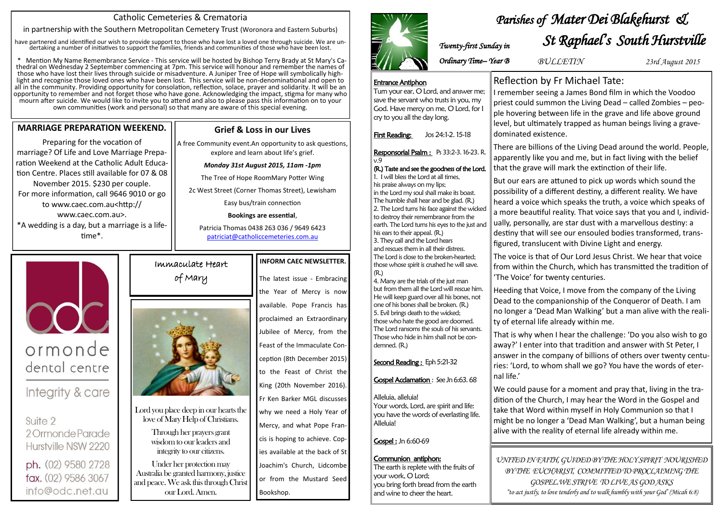### Immaculate Heart

# of Mary



Lord you place deep in our hearts the love of Mary Help of Christians.

Through her prayers grant wisdom to our leaders and integrity to our citizens.

Under her protection may Australia be granted harmony, justice and peace. We ask this through Christ our Lord. Amen.

#### **INFORM CAEC NEWSLETTER.**

The latest issue - Embracing the Year of Mercy is now available. Pope Francis has proclaimed an Extraordinary Jubilee of Mercy, from the Feast of the Immaculate Conception (8th December 2015) to the Feast of Christ the King (20th November 2016). Fr Ken Barker MGL discusses why we need a Holy Year of Mercy, and what Pope Francis is hoping to achieve. Copies available at the back of St Joachim's Church, Lidcombe or from the Mustard Seed Bookshop.



#### **MARRIAGE PREPARATION WEEKEND.**

Preparing for the vocation of marriage? Of Life and Love Marriage Preparation Weekend at the Catholic Adult Education Centre. Places still available for 07 & 08 November 2015. \$230 per couple. For more information, call 9646 9010 or go to www.caec.com.au<http:// www.caec.com.au>. \*A wedding is a day, but a marriage is a lifetime\*.

ormonde

dental centre

Integrity & care

2 Ormonde Parade

Hurstville NSW 2220

ph. (02) 9580 2728

fax. (02) 9586 3067

info@odc.net.au

Suite 2

#### Catholic Cemeteries & Crematoria

in partnership with the Southern Metropolitan Cemetery Trust (Woronora and Eastern Suburbs)

have partnered and identified our wish to provide support to those who have lost a loved one through suicide. We are undertaking a number of initiatives to support the families, friends and communities of those who have been lost.

\* Mention My Name Remembrance Service - This service will be hosted by Bishop Terry Brady at St Mary's Cathedral on Wednesday 2 September commencing at 7pm. This service will honour and remember the names of those who have lost their lives through suicide or misadventure. A Juniper Tree of Hope will symbolically highlight and recognise those loved ones who have been lost. This service will be non-denominational and open to all in the community. Providing opportunity for consolation, reflection, solace, prayer and solidarity. It will be an opportunity to remember and not forget those who have gone. Acknowledging the impact, stigma for many who mourn after suicide. We would like to invite you to attend and also to please pass this information on to your own communities (work and personal) so that many are aware of this special evening.

#### **Grief & Loss in our Lives**

A free Community event.An opportunity to ask questions, explore and learn about life's grief.

#### *Monday 31st August 2015, 11am -1pm*

The Tree of Hope RoomMary Potter Wing

2c West Street (Corner Thomas Street), Lewisham

Easy bus/train connection

#### **Bookings are essential**,

Patricia Thomas 0438 263 036 / 9649 6423 [patriciat@catholiccemeteries.com.au](mailto:patriciat@catholiccemeteries.com.au)

# Reflection by Fr Michael Tate:

I remember seeing a James Bond film in which the Voodoo priest could summon the Living Dead – called Zombies – people hovering between life in the grave and life above ground level, but ultimately trapped as human beings living a gravedominated existence.

There are billions of the Living Dead around the world. People, apparently like you and me, but in fact living with the belief that the grave will mark the extinction of their life.

But our ears are attuned to pick up words which sound the possibility of a different destiny, a different reality. We have heard a voice which speaks the truth, a voice which speaks of a more beautiful reality. That voice says that you and I, individually, personally, are star dust with a marvellous destiny: a destiny that will see our ensouled bodies transformed, transfigured, translucent with Divine Light and energy.

The voice is that of Our Lord Jesus Christ. We hear that voice from within the Church, which has transmitted the tradition of 'The Voice' for twenty centuries.

Heeding that Voice, I move from the company of the Living Dead to the companionship of the Conqueror of Death. I am no longer a 'Dead Man Walking' but a man alive with the reality of eternal life already within me.

That is why when I hear the challenge: 'Do you also wish to go away?' I enter into that tradition and answer with St Peter, I answer in the company of billions of others over twenty centuries: 'Lord, to whom shall we go? You have the words of eternal life.'

We could pause for a moment and pray that, living in the tradition of the Church, I may hear the Word in the Gospel and take that Word within myself in Holy Communion so that I might be no longer a 'Dead Man Walking', but a human being alive with the reality of eternal life already within me.

## *Parishes of Mater Dei Blakehurst & St Raphael's South Hurstville Twenty-first Sunday in*

*UNITED IN FAITH, GUIDED BY THE HOLY SPIRIT NOURISHED BY THE EUCHARIST, COMMITTED TO PROCLAIMING THE GOSPEL.WE STRIVE TO LIVE AS GOD ASKS "to act justly, to love tenderly and to walk humbly with your God' (Micah 6:8)*



*BULLETIN 23rd August 2015*

Entrance Antiphon

Turn your ear, O Lord, and answer me; save the servant who trusts in you, my God. Have mercy on me, O Lord, for I

cry to you all the day long.

First Reading: Jos 24:1-2. 15-18

v.9

(R.) Taste and see the goodness of the Lord.

1. I will bless the Lord at all times, his praise always on my lips;

in the Lord my soul shall make its boast. The humble shall hear and be glad. (R.) 2. The Lord turns his face against the wicked to destroy their remembrance from the earth. The Lord turns his eyes to the just and

his ears to their appeal. (R.) 3. They call and the Lord hears and rescues them in all their distress. The Lord is close to the broken-hearted; those whose spirit is crushed he will save.

Responsorial Psalm : Ps 33:2-3. 16-23. R.

(R.)

4. Many are the trials of the just man but from them all the Lord will rescue him. He will keep guard over all his bones, not one of his bones shall be broken. (R.) 5. Evil brings death to the wicked; those who hate the good are doomed. The Lord ransoms the souls of his servants. Those who hide in him shall not be con-

demned. (R.)

Second Reading : Eph 5:21-32

Gospel Acclamation : See Jn 6:63. 68

Alleluia, alleluia!

Your words, Lord, are spirit and life: you have the words of everlasting life.

Alleluia!

Gospel : Jn 6:60-69

Communion antiphon:

The earth is replete with the fruits of

your work, O Lord;

you bring forth bread from the earth

and wine to cheer the heart.

*Ordinary Time– Year B*